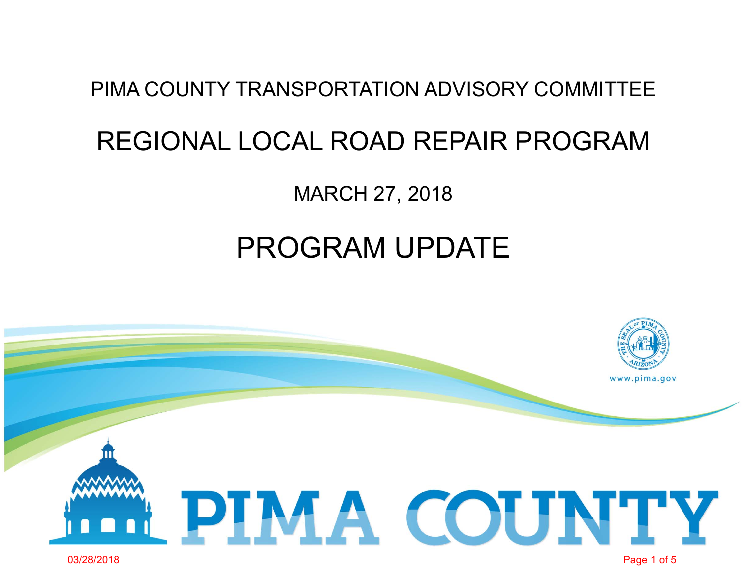## PIMA COUNTY TRANSPORTATION ADVISORY COMMITTEE

## REGIONAL LOCAL ROAD REPAIR PROGRAM

MARCH 27, 2018

## PROGRAM UPDATE

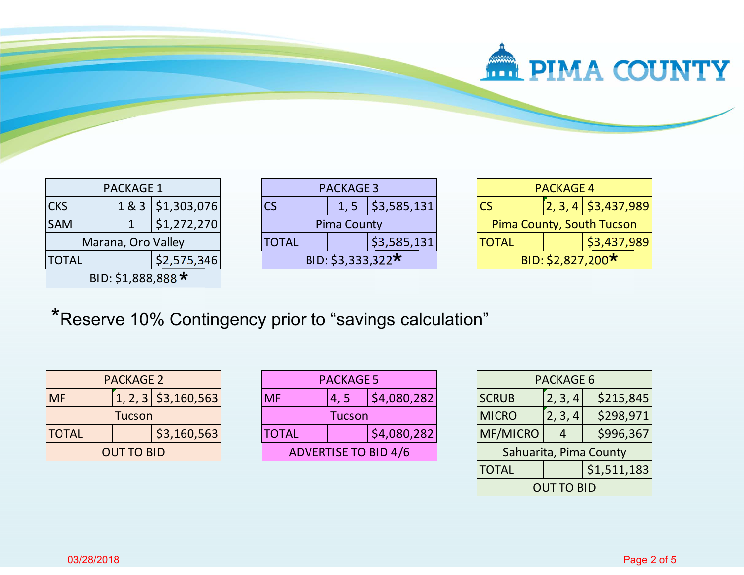

| <b>PACKAGE 1</b>                  |  |             |
|-----------------------------------|--|-------------|
| 1 & 3   \$1,303,076<br><b>CKS</b> |  |             |
| <b>SAM</b>                        |  | \$1,272,270 |
| Marana, Oro Valley                |  |             |
| \$2,575,346<br><b>TOTAL</b>       |  |             |
| BID: \$1,888,888 *                |  |             |

| <b>PACKAGE 3</b>   |  |                    |
|--------------------|--|--------------------|
| CS                 |  | 1, 5   \$3,585,131 |
| <b>Pima County</b> |  |                    |
| <b>TOTAL</b>       |  | \$3,585,131        |
| BID: \$3,333,322*  |  |                    |

| <b>PACKAGE 4</b>                 |  |                                    |
|----------------------------------|--|------------------------------------|
|                                  |  | $\left[2, 3, 4\right]$ \$3,437,989 |
| <b>Pima County, South Tucson</b> |  |                                    |
| \$3,437,989<br><b>TOTAL</b>      |  |                                    |
| BID: \$2,827,200*                |  |                                    |

\*Reserve 10% Contingency prior to "savings calculation"

| <b>PACKAGE 2</b>            |  |                       |
|-----------------------------|--|-----------------------|
| <b>MF</b>                   |  | $1, 2, 3$ \$3,160,563 |
| Tucson                      |  |                       |
| \$3,160,563<br><b>TOTAL</b> |  |                       |
| <b>OUT TO BID</b>           |  |                       |

| <b>PACKAGE 5</b>            |      |             |
|-----------------------------|------|-------------|
| MF                          | 4, 5 | \$4,080,282 |
| Tucson                      |      |             |
| <b>TOTAL</b>                |      | \$4,080,282 |
| <b>ADVERTISE TO BID 4/6</b> |      |             |

| <b>PACKAGE 6</b>       |         |             |
|------------------------|---------|-------------|
| <b>SCRUB</b>           | 2, 3, 4 | \$215,845   |
| <b>MICRO</b>           | 2, 3, 4 | \$298,971   |
| MF/MICRO               |         | \$996,367   |
| Sahuarita, Pima County |         |             |
| <b>TOTAL</b>           |         | \$1,511,183 |
| <b>OUT TO BID</b>      |         |             |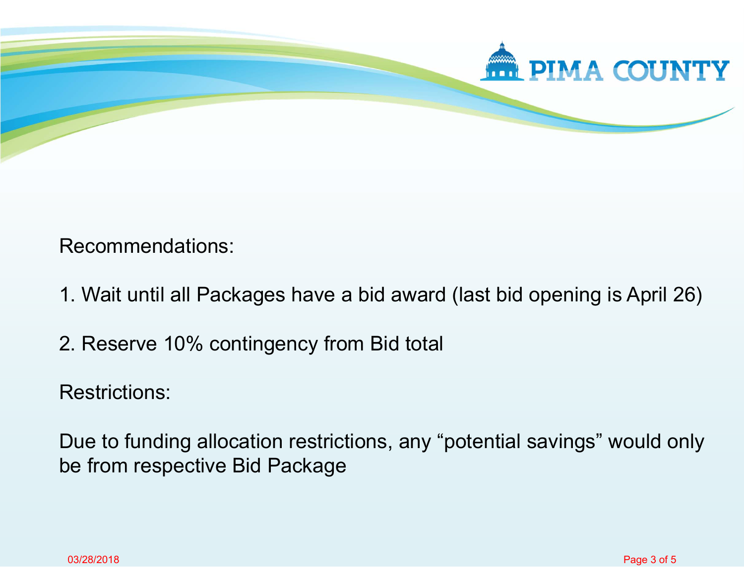

Recommendations:

- 1. Wait until all Packages have a bid award (last bid opening is April 26)
- 2. Reserve 10% contingency from Bid total

Restrictions:

Due to funding allocation restrictions, any "potential savings" would only be from respective Bid Package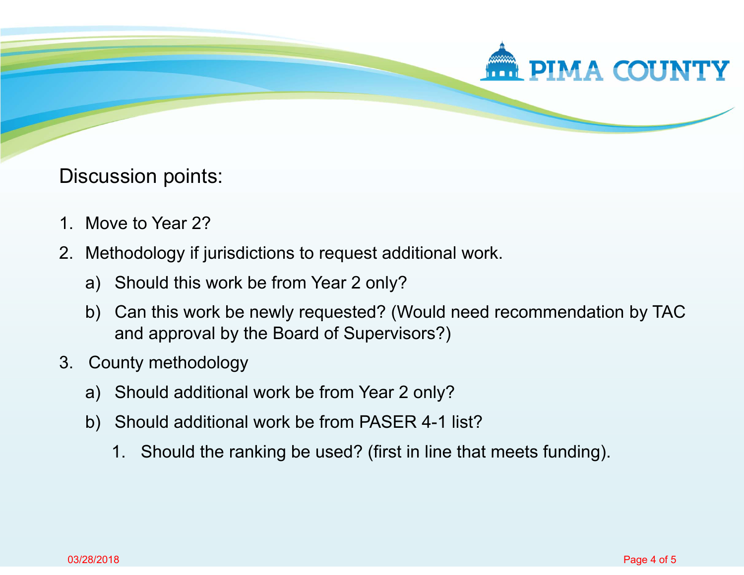

Discussion points:

- 1. Move to Year 2?
- 2. Methodology if jurisdictions to request additional work.
	- a) Should this work be from Year 2 only?
	- b) Can this work be newly requested? (Would need recommendation by TAC and approval by the Board of Supervisors?)
- 3. County methodology
	- a) Should additional work be from Year 2 only?
	- b) Should additional work be from PASER 4-1 list?
		- 1. Should the ranking be used? (first in line that meets funding).